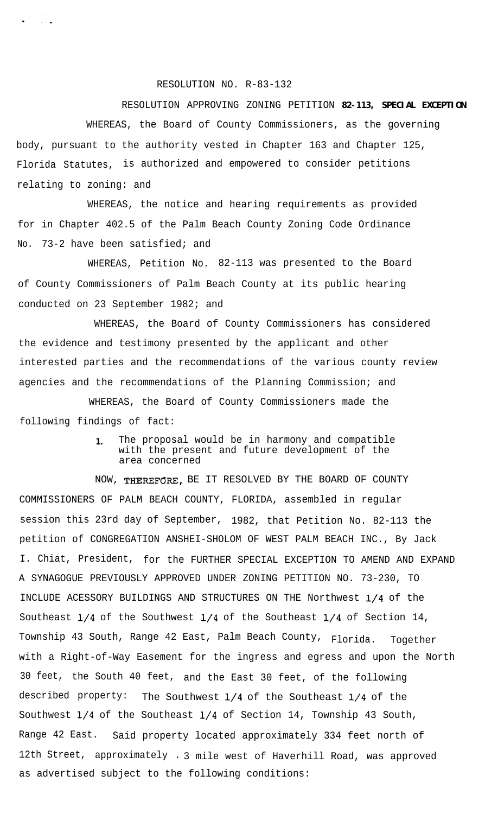RESOLUTION NO. R-83-132

RESOLUTION APPROVING ZONING PETITION **82-113, SPECIAL EXCEPTION** WHEREAS, the Board of County Commissioners, as the governing body, pursuant to the authority vested in Chapter 163 and Chapter 125, Florida Statutes, is authorized and empowered to consider petitions relating to zoning: and

WHEREAS, the notice and hearing requirements as provided for in Chapter 402.5 of the Palm Beach County Zoning Code Ordinance No. 73-2 have been satisfied; and

WHEREAS, Petition No. 82-113 was presented to the Board of County Commissioners of Palm Beach County at its public hearing conducted on 23 September 1982; and

WHEREAS, the Board of County Commissioners has considered the evidence and testimony presented by the applicant and other interested parties and the recommendations of the various county review agencies and the recommendations of the Planning Commission; and

WHEREAS, the Board of County Commissioners made the following findings of fact:

> **1.** The proposal would be in harmony and compatible with the present and future development of the area concerned

NOW, THEREFGRE, BE IT RESOLVED BY THE BOARD OF COUNTY COMMISSIONERS OF PALM BEACH COUNTY, FLORIDA, assembled in regular session this 23rd day of September, 1982, that Petition No. 82-113 the petition of CONGREGATION ANSHEI-SHOLOM OF WEST PALM BEACH INC., By Jack I. Chiat, President, for the FURTHER SPECIAL EXCEPTION TO AMEND AND EXPAND A SYNAGOGUE PREVIOUSLY APPROVED UNDER ZONING PETITION NO. 73-230, TO INCLUDE ACESSORY BUILDINGS AND STRUCTURES ON THE Northwest l/4 of the Southeast l/4 of the Southwest l/4 of the Southeast l/4 of Section 14, Township 43 South, Range 42 East, Palm Beach County, Florida. Together with a Right-of-Way Easement for the ingress and egress and upon the North 30 feet, the South 40 feet, and the East 30 feet, of the following described property: The Southwest  $1/4$  of the Southeast  $1/4$  of the Southwest l/4 of the Southeast l/4 of Section 14, Township 43 South, Range 42 East. Said property located approximately 334 feet north of 12th Street, approximately . 3 mile west of Haverhill Road, was approved as advertised subject to the following conditions: